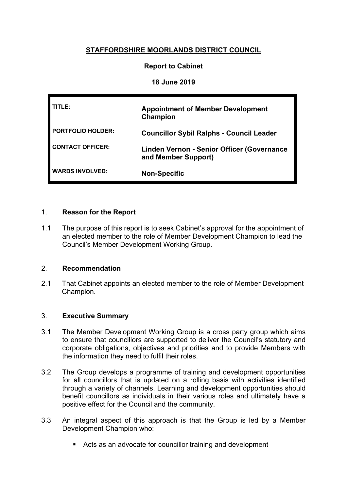# **STAFFORDSHIRE MOORLANDS DISTRICT COUNCIL**

### **Report to Cabinet**

### **18 June 2019**

| TITLE:                   | <b>Appointment of Member Development</b><br>Champion                     |
|--------------------------|--------------------------------------------------------------------------|
| <b>PORTFOLIO HOLDER:</b> | <b>Councillor Sybil Ralphs - Council Leader</b>                          |
| <b>CONTACT OFFICER:</b>  | <b>Linden Vernon - Senior Officer (Governance</b><br>and Member Support) |
| <b>WARDS INVOLVED:</b>   | <b>Non-Specific</b>                                                      |

### 1. **Reason for the Report**

1.1 The purpose of this report is to seek Cabinet's approval for the appointment of an elected member to the role of Member Development Champion to lead the Council's Member Development Working Group.

#### 2. **Recommendation**

2.1 That Cabinet appoints an elected member to the role of Member Development Champion.

## 3. **Executive Summary**

- 3.1 The Member Development Working Group is a cross party group which aims to ensure that councillors are supported to deliver the Council's statutory and corporate obligations, objectives and priorities and to provide Members with the information they need to fulfil their roles.
- 3.2 The Group develops a programme of training and development opportunities for all councillors that is updated on a rolling basis with activities identified through a variety of channels. Learning and development opportunities should benefit councillors as individuals in their various roles and ultimately have a positive effect for the Council and the community.
- 3.3 An integral aspect of this approach is that the Group is led by a Member Development Champion who:
	- Acts as an advocate for councillor training and development